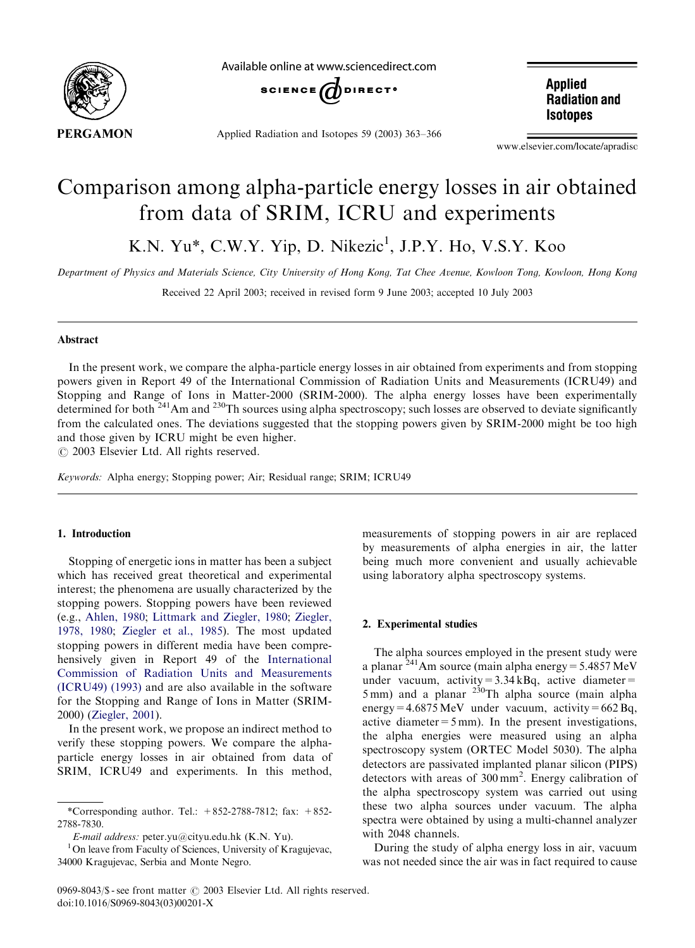

Available online at www.sciencedirect.com



Applied Radiation and Isotopes 59 (2003) 363–366

**Applied Radiation and Isotopes** 

www.elsevier.com/locate/apradiso

# Comparison among alpha-particle energy losses in air obtained from data of SRIM, ICRU and experiments

K.N. Yu\*, C.W.Y. Yip, D. Nikezic<sup>1</sup>, J.P.Y. Ho, V.S.Y. Koo

Department of Physics and Materials Science, City University of Hong Kong, Tat Chee Avenue, Kowloon Tong, Kowloon, Hong Kong

Received 22 April 2003; received in revised form 9 June 2003; accepted 10 July 2003

## Abstract

In the present work, we compare the alpha-particle energy losses in air obtained from experiments and from stopping powers given in Report 49 of the International Commission of Radiation Units and Measurements (ICRU49) and Stopping and Range of Ions in Matter-2000 (SRIM-2000). The alpha energy losses have been experimentally determined for both <sup>241</sup>Am and <sup>230</sup>Th sources using alpha spectroscopy; such losses are observed to deviate significantly from the calculated ones. The deviations suggested that the stopping powers given by SRIM-2000 might be too high and those given by ICRU might be even higher.

 $\odot$  2003 Elsevier Ltd. All rights reserved.

Keywords: Alpha energy; Stopping power; Air; Residual range; SRIM; ICRU49

## 1. Introduction

Stopping of energetic ions in matter has been a subject which has received great theoretical and experimental interest; the phenomena are usually characterized by the stopping powers. Stopping powers have been reviewed (e.g., [Ahlen, 1980;](#page-3-0) [Littmark and Ziegler, 1980](#page-3-0); [Ziegler,](#page-3-0) [1978, 1980](#page-3-0); [Ziegler et al., 1985](#page-3-0)). The most updated stopping powers in different media have been compre-hensively given in Report 49 of the [International](#page-3-0) Commission of Radiation Units and Measurements [\(ICRU49\) \(1993\)](#page-3-0) and are also available in the software for the Stopping and Range of Ions in Matter (SRIM-2000) ([Ziegler, 2001\)](#page-3-0).

In the present work, we propose an indirect method to verify these stopping powers. We compare the alphaparticle energy losses in air obtained from data of SRIM, ICRU49 and experiments. In this method,

measurements of stopping powers in air are replaced by measurements of alpha energies in air, the latter being much more convenient and usually achievable using laboratory alpha spectroscopy systems.

## 2. Experimental studies

The alpha sources employed in the present study were a planar  $^{241}$ Am source (main alpha energy = 5.4857 MeV under vacuum, activity= $3.34$  kBq, active diameter=  $5 \text{ mm}$ ) and a planar  $230 \text{ Th}$  alpha source (main alpha energy =  $4.6875$  MeV under vacuum, activity =  $662$  Bq, active diameter  $=5$  mm). In the present investigations, the alpha energies were measured using an alpha spectroscopy system (ORTEC Model 5030). The alpha detectors are passivated implanted planar silicon (PIPS) detectors with areas of  $300 \text{ mm}^2$ . Energy calibration of the alpha spectroscopy system was carried out using these two alpha sources under vacuum. The alpha spectra were obtained by using a multi-channel analyzer with 2048 channels.

During the study of alpha energy loss in air, vacuum was not needed since the air was in fact required to cause

<sup>\*</sup>Corresponding author. Tel.: +852-2788-7812; fax: +852- 2788-7830.

E-mail address: peter.yu@cityu.edu.hk (K.N. Yu).

 $1$ On leave from Faculty of Sciences, University of Kragujevac, 34000 Kragujevac, Serbia and Monte Negro.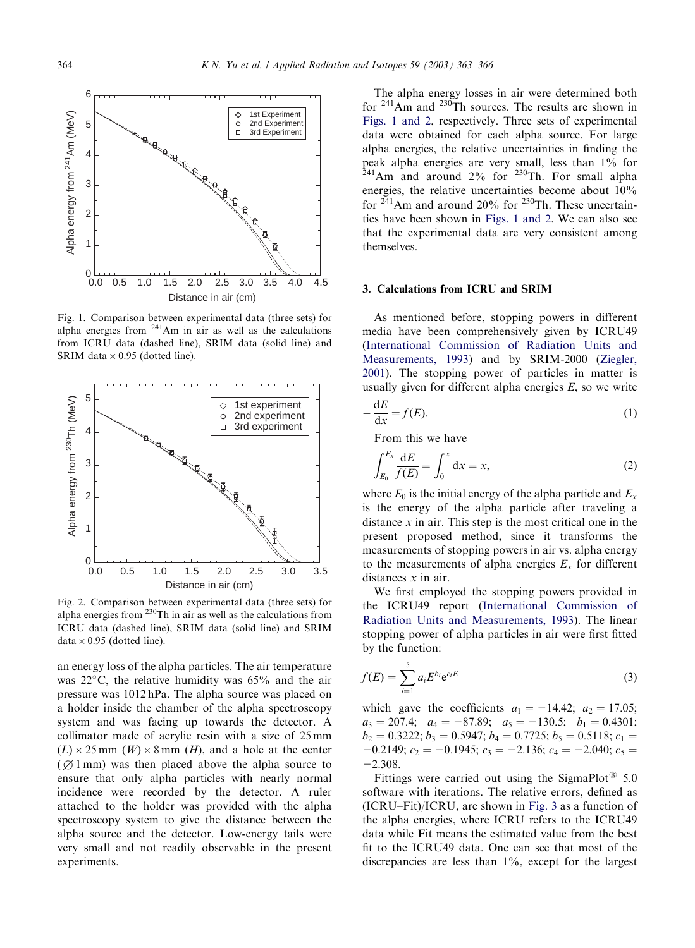<span id="page-1-0"></span>

Fig. 1. Comparison between experimental data (three sets) for alpha energies from 241Am in air as well as the calculations from ICRU data (dashed line), SRIM data (solid line) and SRIM data  $\times$  0.95 (dotted line).



Fig. 2. Comparison between experimental data (three sets) for alpha energies from  $230$ Th in air as well as the calculations from ICRU data (dashed line), SRIM data (solid line) and SRIM data  $\times$  0.95 (dotted line).

an energy loss of the alpha particles. The air temperature was  $22^{\circ}$ C, the relative humidity was 65% and the air pressure was 1012 hPa. The alpha source was placed on a holder inside the chamber of the alpha spectroscopy system and was facing up towards the detector. A collimator made of acrylic resin with a size of 25 mm  $(L) \times 25$  mm  $(W) \times 8$  mm  $(H)$ , and a hole at the center  $(Q1$  mm) was then placed above the alpha source to ensure that only alpha particles with nearly normal incidence were recorded by the detector. A ruler attached to the holder was provided with the alpha spectroscopy system to give the distance between the alpha source and the detector. Low-energy tails were very small and not readily observable in the present experiments.

The alpha energy losses in air were determined both for  $241$ Am and  $230$ Th sources. The results are shown in Figs. 1 and 2, respectively. Three sets of experimental data were obtained for each alpha source. For large alpha energies, the relative uncertainties in finding the peak alpha energies are very small, less than 1% for  $^{241}$ Am and around 2% for <sup>230</sup>Th. For small alpha energies, the relative uncertainties become about 10% for  $241$ Am and around 20% for  $230$ Th. These uncertainties have been shown in Figs. 1 and 2. We can also see that the experimental data are very consistent among themselves.

#### 3. Calculations from ICRU and SRIM

As mentioned before, stopping powers in different media have been comprehensively given by ICRU49 (International Commission of Radiation Units and [Measurements, 1993](#page-3-0)) and by SRIM-2000 [\(Ziegler,](#page-3-0)  $2001$ ). The stopping power of particles in matter is usually given for different alpha energies  $E$ , so we write

$$
-\frac{\mathrm{d}E}{\mathrm{d}x} = f(E). \tag{1}
$$

From this we have

$$
-\int_{E_0}^{E_x} \frac{dE}{f(E)} = \int_0^x dx = x,
$$
 (2)

where  $E_0$  is the initial energy of the alpha particle and  $E_x$ is the energy of the alpha particle after traveling a distance  $x$  in air. This step is the most critical one in the present proposed method, since it transforms the measurements of stopping powers in air vs. alpha energy to the measurements of alpha energies  $E<sub>x</sub>$  for different distances x in air.

We first employed the stopping powers provided in the ICRU49 report [\(International Commission of](#page-3-0) [Radiation Units and Measurements, 1993\)](#page-3-0). The linear stopping power of alpha particles in air were first fitted by the function:

$$
f(E) = \sum_{i=1}^{5} a_i E^{b_i} e^{c_i E}
$$
 (3)

which gave the coefficients  $a_1 = -14.42$ ;  $a_2 = 17.05$ ;  $a_3 = 207.4$ ;  $a_4 = -87.89$ ;  $a_5 = -130.5$ ;  $b_1 = 0.4301$ ;  $b_2 = 0.3222$ ;  $b_3 = 0.5947$ ;  $b_4 = 0.7725$ ;  $b_5 = 0.5118$ ;  $c_1 =$  $-0.2149$ ;  $c_2 = -0.1945$ ;  $c_3 = -2.136$ ;  $c_4 = -2.040$ ;  $c_5 =$  $-2.308.$ 

Fittings were carried out using the SigmaPlot<sup>®</sup> 5.0 software with iterations. The relative errors, defined as (ICRU–Fit)/ICRU, are shown in [Fig. 3](#page-2-0) as a function of the alpha energies, where ICRU refers to the ICRU49 data while Fit means the estimated value from the best fit to the ICRU49 data. One can see that most of the discrepancies are less than  $1\%$ , except for the largest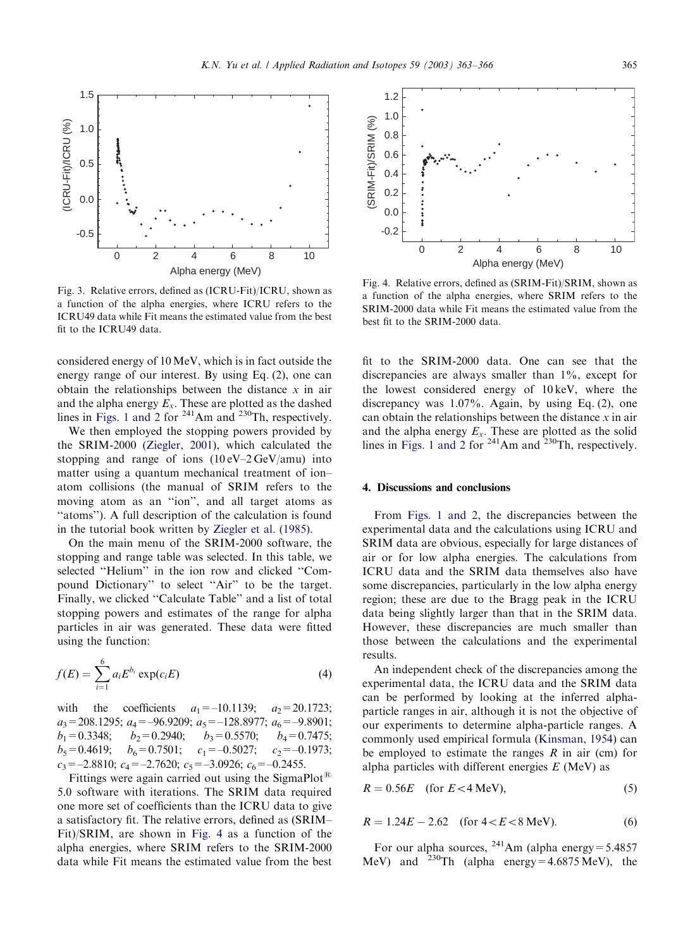<span id="page-2-0"></span>

Fig. 3. Relative errors, defined as (ICRU-Fit)/ICRU, shown as a function of the alpha energies, where ICRU refers to the ICRU49 data while Fit means the estimated value from the best fit to the ICRU49 data.

considered energy of  $10 \,\text{MeV}$ , which is in fact outside the energy range of our interest. By using Eq.  $(2)$ , one can obtain the relationships between the distance  $x$  in air and the alpha energy  $E_x$ . These are plotted as the dashed lines in [Figs. 1 and 2](#page-1-0) for  $2^{41}$ Am and  $2^{30}$ Th, respectively.

We then employed the stopping powers provided by the SRIM-2000 ([Ziegler, 2001\)](#page-3-0), which calculated the stopping and range of ions  $(10 \text{ eV} - 2 \text{ GeV} / \text{amu})$  into matter using a quantum mechanical treatment of ion– atom collisions (the manual of SRIM refers to the moving atom as an ''ion'', and all target atoms as ''atoms''). A full description of the calculation is found in the tutorial book written by [Ziegler et al. \(1985\).](#page-3-0)

On the main menu of the SRIM-2000 software, the stopping and range table was selected. In this table, we selected ''Helium'' in the ion row and clicked ''Compound Dictionary'' to select ''Air'' to be the target. Finally, we clicked "Calculate Table" and a list of total stopping powers and estimates of the range for alpha particles in air was generated. These data were fitted using the function:

$$
f(E) = \sum_{i=1}^{6} a_i E^{b_i} \exp(c_i E)
$$
 (4)

with the coefficients  $a_1 = -10.1139$ ;  $a_2 = 20.1723$ ;  $a_3$ =208.1295;  $a_4$ =-96.9209;  $a_5$ =-128.8977;  $a_6$ =-9.8901;  $b_1 = 0.3348;$   $b_2 = 0.2940;$   $b_3 = 0.5570;$   $b_4 = 0.7475;$ <br>  $b_5 = 0.4619;$   $b_6 = 0.7501;$   $c_1 = -0.5027;$   $c_2 = -0.1973;$  $b_5=0.4619; b_6=0.7501; c_1=-0.5027; c_2=-0.1973;$  $c_3 = -2.8810$ ;  $c_4 = -2.7620$ ;  $c_5 = -3.0926$ ;  $c_6 = -0.2455$ .

Fittings were again carried out using the SigmaPlot<sup>®</sup> 5.0 software with iterations. The SRIM data required one more set of coefficients than the ICRU data to give a satisfactory fit. The relative errors, defined as (SRIM– Fit)/SRIM, are shown in Fig. 4 as a function of the alpha energies, where SRIM refers to the SRIM-2000 data while Fit means the estimated value from the best



Fig. 4. Relative errors, defined as (SRIM-Fit)/SRIM, shown as a function of the alpha energies, where SRIM refers to the SRIM-2000 data while Fit means the estimated value from the best fit to the SRIM-2000 data.

fit to the SRIM-2000 data. One can see that the discrepancies are always smaller than 1%, except for the lowest considered energy of  $10 \text{ keV}$ , where the discrepancy was 1.07%. Again, by using Eq. (2), one can obtain the relationships between the distance  $x$  in air and the alpha energy  $E_x$ . These are plotted as the solid lines in [Figs. 1 and 2](#page-1-0) for  $2^{41}$ Am and  $2^{30}$ Th, respectively.

#### 4. Discussions and conclusions

From [Figs. 1 and 2](#page-1-0), the discrepancies between the experimental data and the calculations using ICRU and SRIM data are obvious, especially for large distances of air or for low alpha energies. The calculations from ICRU data and the SRIM data themselves also have some discrepancies, particularly in the low alpha energy region; these are due to the Bragg peak in the ICRU data being slightly larger than that in the SRIM data. However, these discrepancies are much smaller than those between the calculations and the experimental results.

An independent check of the discrepancies among the experimental data, the ICRU data and the SRIM data can be performed by looking at the inferred alphaparticle ranges in air, although it is not the objective of our experiments to determine alpha-particle ranges. A commonly used empirical formula ([Kinsman, 1954](#page-3-0)) can be employed to estimate the ranges  $R$  in air (cm) for alpha particles with different energies  $E$  (MeV) as

$$
R = 0.56E \quad \text{(for } E < 4 \text{ MeV)},\tag{5}
$$

$$
R = 1.24E - 2.62 \quad \text{(for } 4 < E < 8 \text{ MeV)}.
$$
\n(6)

For our alpha sources,  $^{241}$ Am (alpha energy = 5.4857 MeV) and <sup>230</sup>Th (alpha energy =  $4.6875$  MeV), the